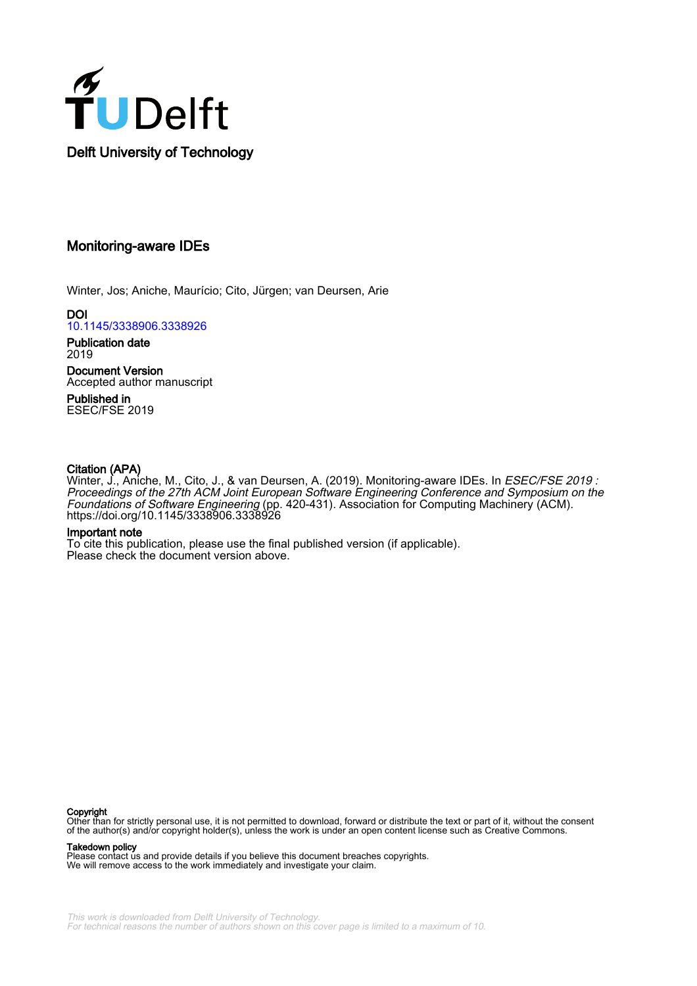

# Monitoring-aware IDEs

Winter, Jos; Aniche, Maurício; Cito, Jürgen; van Deursen, Arie

DOI [10.1145/3338906.3338926](https://doi.org/10.1145/3338906.3338926)

Publication date 2019

Document Version Accepted author manuscript

Published in ESEC/FSE 2019

# Citation (APA)

Winter, J., Aniche, M., Cito, J., & van Deursen, A. (2019). Monitoring-aware IDEs. In ESEC/FSE 2019 : Proceedings of the 27th ACM Joint European Software Engineering Conference and Symposium on the Foundations of Software Engineering (pp. 420-431). Association for Computing Machinery (ACM). <https://doi.org/10.1145/3338906.3338926>

### Important note

To cite this publication, please use the final published version (if applicable). Please check the document version above.

#### Copyright

Other than for strictly personal use, it is not permitted to download, forward or distribute the text or part of it, without the consent of the author(s) and/or copyright holder(s), unless the work is under an open content license such as Creative Commons.

#### Takedown policy

Please contact us and provide details if you believe this document breaches copyrights. We will remove access to the work immediately and investigate your claim.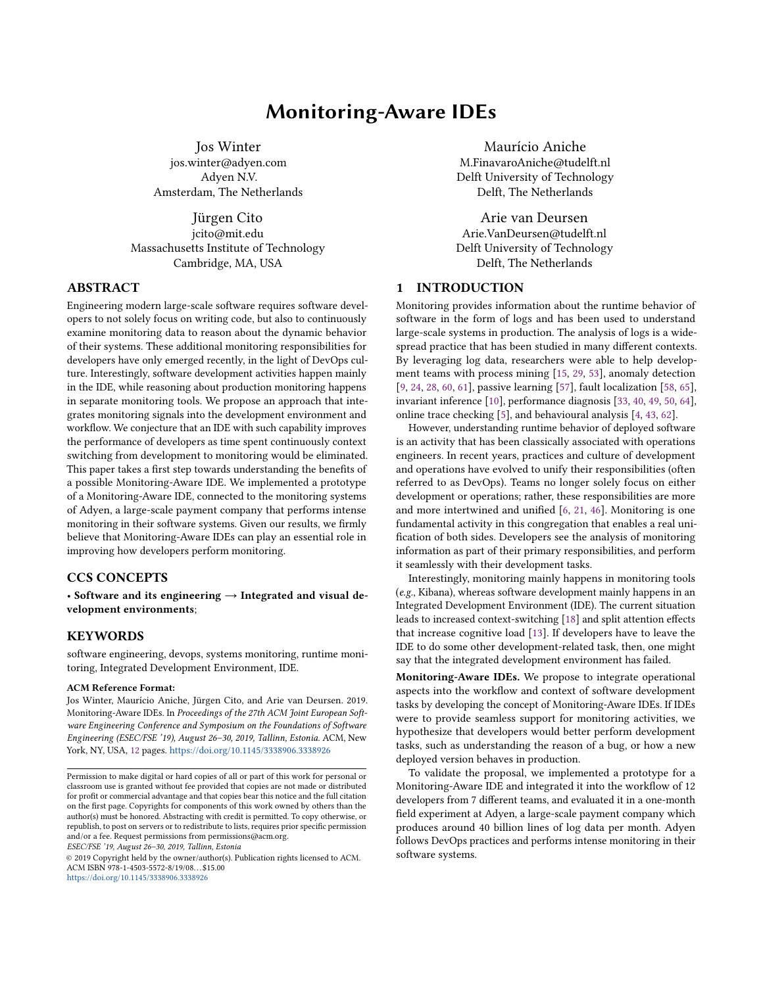# Monitoring-Aware IDEs

Jos Winter

jos.winter@adyen.com Adyen N.V. Amsterdam, The Netherlands

Jürgen Cito jcito@mit.edu Massachusetts Institute of Technology Cambridge, MA, USA

# ABSTRACT

Engineering modern large-scale software requires software developers to not solely focus on writing code, but also to continuously examine monitoring data to reason about the dynamic behavior of their systems. These additional monitoring responsibilities for developers have only emerged recently, in the light of DevOps culture. Interestingly, software development activities happen mainly in the IDE, while reasoning about production monitoring happens in separate monitoring tools. We propose an approach that integrates monitoring signals into the development environment and workflow. We conjecture that an IDE with such capability improves the performance of developers as time spent continuously context switching from development to monitoring would be eliminated. This paper takes a first step towards understanding the benefits of a possible Monitoring-Aware IDE. We implemented a prototype of a Monitoring-Aware IDE, connected to the monitoring systems of Adyen, a large-scale payment company that performs intense monitoring in their software systems. Given our results, we firmly believe that Monitoring-Aware IDEs can play an essential role in improving how developers perform monitoring.

### CCS CONCEPTS

 $\cdot$  Software and its engineering  $\rightarrow$  Integrated and visual development environments;

# **KEYWORDS**

software engineering, devops, systems monitoring, runtime monitoring, Integrated Development Environment, IDE.

#### ACM Reference Format:

Jos Winter, Maurício Aniche, Jürgen Cito, and Arie van Deursen. 2019. Monitoring-Aware IDEs. In Proceedings of the 27th ACM Joint European Software Engineering Conference and Symposium on the Foundations of Software Engineering (ESEC/FSE '19), August 26-30, 2019, Tallinn, Estonia. ACM, New York, NY, USA, [12](#page-12-0) pages. <https://doi.org/10.1145/3338906.3338926>

ESEC/FSE '19, August 26-30, 2019, Tallinn, Estonia

© 2019 Copyright held by the owner/author(s). Publication rights licensed to ACM. ACM ISBN 978-1-4503-5572-8/19/08. . . \$15.00 <https://doi.org/10.1145/3338906.3338926>

Maurício Aniche M.FinavaroAniche@tudelft.nl Delft University of Technology Delft, The Netherlands

Arie van Deursen Arie.VanDeursen@tudelft.nl Delft University of Technology Delft, The Netherlands

## 1 INTRODUCTION

Monitoring provides information about the runtime behavior of software in the form of logs and has been used to understand large-scale systems in production. The analysis of logs is a widespread practice that has been studied in many diferent contexts. By leveraging log data, researchers were able to help development teams with process mining [\[15,](#page-11-0) [29,](#page-11-1) [53\]](#page-12-1), anomaly detection [\[9,](#page-11-2) [24,](#page-11-3) [28,](#page-11-4) [60,](#page-12-2) [61\]](#page-12-3), passive learning [\[57\]](#page-12-4), fault localization [\[58,](#page-12-5) [65\]](#page-12-6), invariant inference [\[10\]](#page-11-5), performance diagnosis [\[33,](#page-11-6) [40,](#page-11-7) [49,](#page-12-7) [50,](#page-12-8) [64\]](#page-12-9), online trace checking [\[5\]](#page-11-8), and behavioural analysis [\[4,](#page-11-9) [43,](#page-11-10) [62\]](#page-12-10).

However, understanding runtime behavior of deployed software is an activity that has been classically associated with operations engineers. In recent years, practices and culture of development and operations have evolved to unify their responsibilities (often referred to as DevOps). Teams no longer solely focus on either development or operations; rather, these responsibilities are more and more intertwined and unified  $[6, 21, 46]$  $[6, 21, 46]$  $[6, 21, 46]$  $[6, 21, 46]$ . Monitoring is one fundamental activity in this congregation that enables a real unification of both sides. Developers see the analysis of monitoring information as part of their primary responsibilities, and perform it seamlessly with their development tasks.

Interestingly, monitoring mainly happens in monitoring tools (e.g., Kibana), whereas software development mainly happens in an Integrated Development Environment (IDE). The current situation leads to increased context-switching [\[18\]](#page-11-14) and split attention efects that increase cognitive load [\[13\]](#page-11-15). If developers have to leave the IDE to do some other development-related task, then, one might say that the integrated development environment has failed.

Monitoring-Aware IDEs. We propose to integrate operational aspects into the worklow and context of software development tasks by developing the concept of Monitoring-Aware IDEs. If IDEs were to provide seamless support for monitoring activities, we hypothesize that developers would better perform development tasks, such as understanding the reason of a bug, or how a new deployed version behaves in production.

To validate the proposal, we implemented a prototype for a Monitoring-Aware IDE and integrated it into the worklow of 12 developers from 7 diferent teams, and evaluated it in a one-month field experiment at Adyen, a large-scale payment company which produces around 40 billion lines of log data per month. Adyen follows DevOps practices and performs intense monitoring in their software systems.

Permission to make digital or hard copies of all or part of this work for personal or classroom use is granted without fee provided that copies are not made or distributed for profit or commercial advantage and that copies bear this notice and the full citation on the irst page. Copyrights for components of this work owned by others than the author(s) must be honored. Abstracting with credit is permitted. To copy otherwise, or republish, to post on servers or to redistribute to lists, requires prior speciic permission and/or a fee. Request permissions from permissions@acm.org.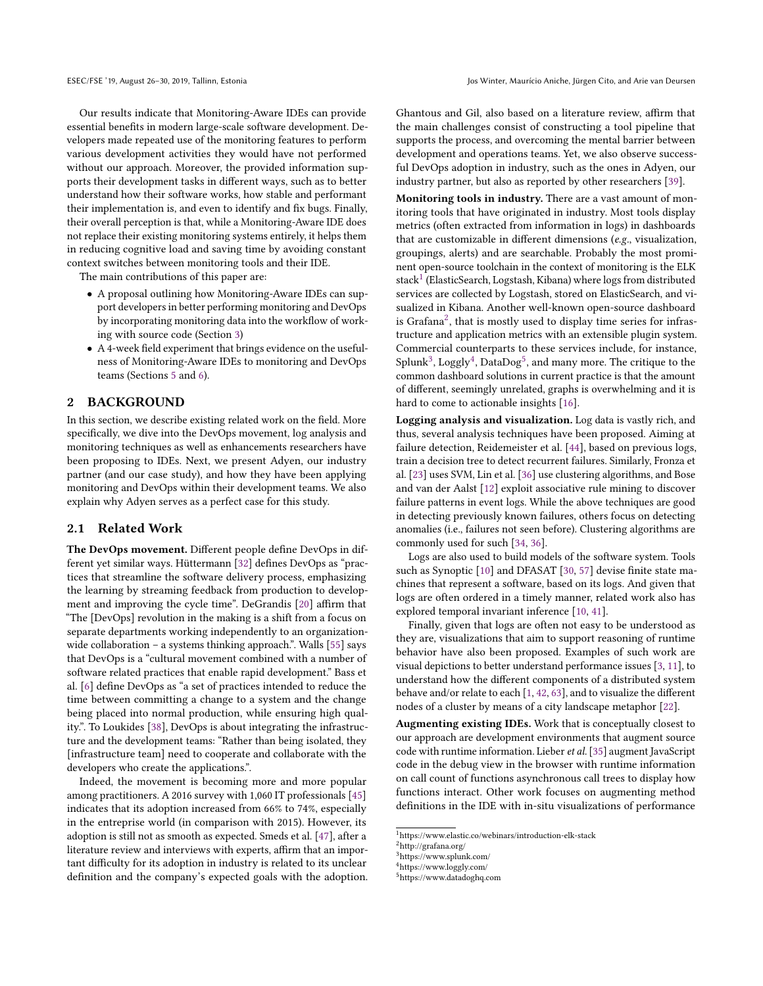Our results indicate that Monitoring-Aware IDEs can provide essential benefits in modern large-scale software development. Developers made repeated use of the monitoring features to perform various development activities they would have not performed without our approach. Moreover, the provided information supports their development tasks in diferent ways, such as to better understand how their software works, how stable and performant their implementation is, and even to identify and fix bugs. Finally, their overall perception is that, while a Monitoring-Aware IDE does not replace their existing monitoring systems entirely, it helps them in reducing cognitive load and saving time by avoiding constant context switches between monitoring tools and their IDE.

The main contributions of this paper are:

- A proposal outlining how Monitoring-Aware IDEs can support developers in better performing monitoring and DevOps by incorporating monitoring data into the workflow of working with source code (Section [3\)](#page-4-0)
- A 4-week field experiment that brings evidence on the usefulness of Monitoring-Aware IDEs to monitoring and DevOps teams (Sections [5](#page-5-0) and [6\)](#page-6-0).

#### 2 BACKGROUND

In this section, we describe existing related work on the field. More specifically, we dive into the DevOps movement, log analysis and monitoring techniques as well as enhancements researchers have been proposing to IDEs. Next, we present Adyen, our industry partner (and our case study), and how they have been applying monitoring and DevOps within their development teams. We also explain why Adyen serves as a perfect case for this study.

### <span id="page-2-5"></span>2.1 Related Work

The DevOps movement. Different people define DevOps in dif-ferent yet similar ways. Hüttermann [\[32\]](#page-11-16) defines DevOps as "practices that streamline the software delivery process, emphasizing the learning by streaming feedback from production to develop-ment and improving the cycle time". DeGrandis [\[20\]](#page-11-17) affirm that "The [DevOps] revolution in the making is a shift from a focus on separate departments working independently to an organizationwide collaboration  $-$  a systems thinking approach.". Walls [\[55\]](#page-12-11) says that DevOps is a "cultural movement combined with a number of software related practices that enable rapid development." Bass et al. [\[6\]](#page-11-11) define DevOps as "a set of practices intended to reduce the time between committing a change to a system and the change being placed into normal production, while ensuring high qual-ity.". To Loukides [\[38\]](#page-11-18), DevOps is about integrating the infrastructure and the development teams: "Rather than being isolated, they [infrastructure team] need to cooperate and collaborate with the developers who create the applications.".

Indeed, the movement is becoming more and more popular among practitioners. A 2016 survey with 1,060 IT professionals [\[45\]](#page-11-19) indicates that its adoption increased from 66% to 74%, especially in the entreprise world (in comparison with 2015). However, its adoption is still not as smooth as expected. Smeds et al. [\[47\]](#page-11-20), after a literature review and interviews with experts, affirm that an important difficulty for its adoption in industry is related to its unclear definition and the company's expected goals with the adoption. Ghantous and Gil, also based on a literature review, affirm that the main challenges consist of constructing a tool pipeline that supports the process, and overcoming the mental barrier between development and operations teams. Yet, we also observe successful DevOps adoption in industry, such as the ones in Adyen, our industry partner, but also as reported by other researchers [\[39\]](#page-11-21).

Monitoring tools in industry. There are a vast amount of monitoring tools that have originated in industry. Most tools display metrics (often extracted from information in logs) in dashboards that are customizable in diferent dimensions (e.g., visualization, groupings, alerts) and are searchable. Probably the most prominent open-source toolchain in the context of monitoring is the ELK stack<sup>[1](#page-2-0)</sup> (ElasticSearch, Logstash, Kibana) where logs from distributed services are collected by Logstash, stored on ElasticSearch, and visualized in Kibana. Another well-known open-source dashboard is Grafana<sup>[2](#page-2-1)</sup>, that is mostly used to display time series for infrastructure and application metrics with an extensible plugin system. Commercial counterparts to these services include, for instance, Splunk<sup>[3](#page-2-2)</sup>, Loggly<sup>[4](#page-2-3)</sup>, DataDog<sup>[5](#page-2-4)</sup>, and many more. The critique to the common dashboard solutions in current practice is that the amount of diferent, seemingly unrelated, graphs is overwhelming and it is hard to come to actionable insights [\[16\]](#page-11-22).

Logging analysis and visualization. Log data is vastly rich, and thus, several analysis techniques have been proposed. Aiming at failure detection, Reidemeister et al. [\[44\]](#page-11-23), based on previous logs, train a decision tree to detect recurrent failures. Similarly, Fronza et al. [\[23\]](#page-11-24) uses SVM, Lin et al. [\[36\]](#page-11-25) use clustering algorithms, and Bose and van der Aalst [\[12\]](#page-11-26) exploit associative rule mining to discover failure patterns in event logs. While the above techniques are good in detecting previously known failures, others focus on detecting anomalies (i.e., failures not seen before). Clustering algorithms are commonly used for such [\[34,](#page-11-27) [36\]](#page-11-25).

Logs are also used to build models of the software system. Tools such as Synoptic [\[10\]](#page-11-5) and DFASAT [\[30,](#page-11-28) [57\]](#page-12-4) devise finite state machines that represent a software, based on its logs. And given that logs are often ordered in a timely manner, related work also has explored temporal invariant inference [\[10,](#page-11-5) [41\]](#page-11-29).

Finally, given that logs are often not easy to be understood as they are, visualizations that aim to support reasoning of runtime behavior have also been proposed. Examples of such work are visual depictions to better understand performance issues [\[3,](#page-11-30) [11\]](#page-11-31), to understand how the diferent components of a distributed system behave and/or relate to each [\[1,](#page-11-32) [42,](#page-11-33) [63\]](#page-12-12), and to visualize the diferent nodes of a cluster by means of a city landscape metaphor [\[22\]](#page-11-34).

Augmenting existing IDEs. Work that is conceptually closest to our approach are development environments that augment source code with runtime information. Lieber et al.[\[35\]](#page-11-35) augment JavaScript code in the debug view in the browser with runtime information on call count of functions asynchronous call trees to display how functions interact. Other work focuses on augmenting method definitions in the IDE with in-situ visualizations of performance

<span id="page-2-0"></span><sup>1</sup>https://www.elastic.co/webinars/introduction-elk-stack

<span id="page-2-1"></span><sup>2</sup>http://grafana.org/

<span id="page-2-2"></span><sup>3</sup>https://www.splunk.com/

<span id="page-2-3"></span><sup>4</sup>https://www.loggly.com/

<span id="page-2-4"></span><sup>5</sup>https://www.datadoghq.com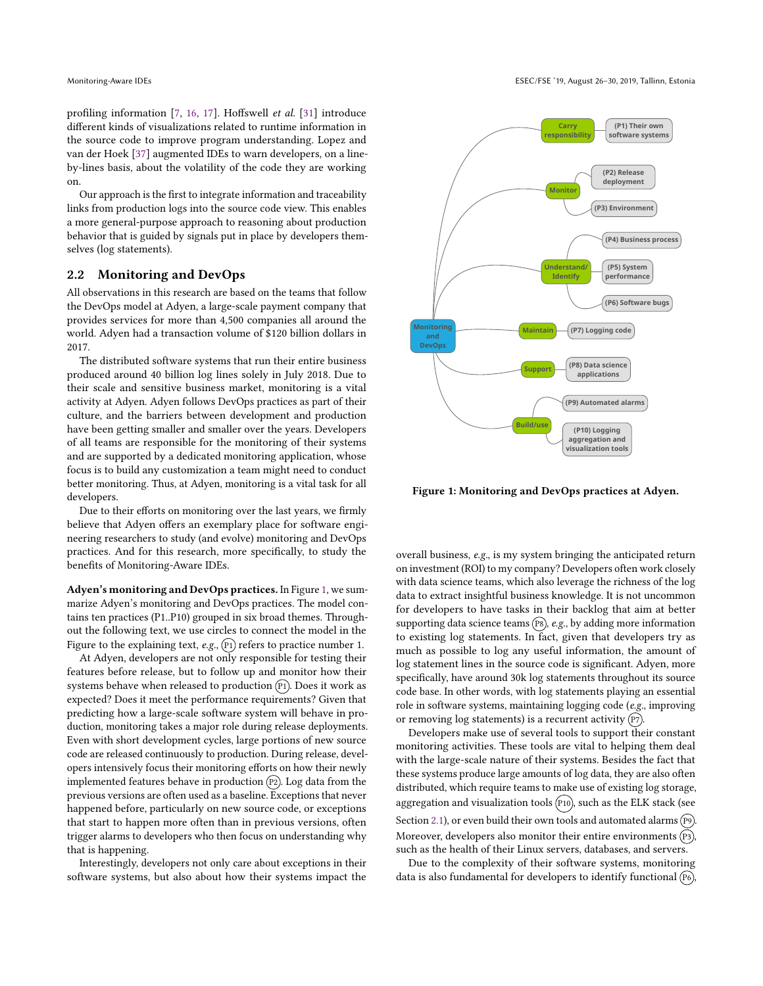profiling information [\[7,](#page-11-36) [16,](#page-11-22) [17\]](#page-11-37). Hoffswell et al. [\[31\]](#page-11-38) introduce diferent kinds of visualizations related to runtime information in the source code to improve program understanding. Lopez and van der Hoek [\[37\]](#page-11-39) augmented IDEs to warn developers, on a lineby-lines basis, about the volatility of the code they are working on.

Our approach is the first to integrate information and traceability links from production logs into the source code view. This enables a more general-purpose approach to reasoning about production behavior that is guided by signals put in place by developers themselves (log statements).

## <span id="page-3-1"></span>2.2 Monitoring and DevOps

All observations in this research are based on the teams that follow the DevOps model at Adyen, a large-scale payment company that provides services for more than 4,500 companies all around the world. Adyen had a transaction volume of \$120 billion dollars in 2017.

The distributed software systems that run their entire business produced around 40 billion log lines solely in July 2018. Due to their scale and sensitive business market, monitoring is a vital activity at Adyen. Adyen follows DevOps practices as part of their culture, and the barriers between development and production have been getting smaller and smaller over the years. Developers of all teams are responsible for the monitoring of their systems and are supported by a dedicated monitoring application, whose focus is to build any customization a team might need to conduct better monitoring. Thus, at Adyen, monitoring is a vital task for all developers.

Due to their efforts on monitoring over the last years, we firmly believe that Adyen offers an exemplary place for software engineering researchers to study (and evolve) monitoring and DevOps practices. And for this research, more specifically, to study the benefits of Monitoring-Aware IDEs.

Adyen's monitoring and DevOps practices. In Figure [1,](#page-3-0) we summarize Adyen's monitoring and DevOps practices. The model contains ten practices (P1..P10) grouped in six broad themes. Throughout the following text, we use circles to connect the model in the Figure to the explaining text,  $e.g., (P1)$  refers to practice number 1.

At Adyen, developers are not only responsible for testing their features before release, but to follow up and monitor how their systems behave when released to production  $(P_1)$ . Does it work as expected? Does it meet the performance requirements? Given that predicting how a large-scale software system will behave in production, monitoring takes a major role during release deployments. Even with short development cycles, large portions of new source code are released continuously to production. During release, developers intensively focus their monitoring efforts on how their newly implemented features behave in production  $(P2)$ . Log data from the previous versions are often used as a baseline. Exceptions that never happened before, particularly on new source code, or exceptions that start to happen more often than in previous versions, often trigger alarms to developers who then focus on understanding why that is happening.

Interestingly, developers not only care about exceptions in their software systems, but also about how their systems impact the

<span id="page-3-0"></span>

Figure 1: Monitoring and DevOps practices at Adyen.

overall business, e.g., is my system bringing the anticipated return on investment (ROI) to my company? Developers often work closely with data science teams, which also leverage the richness of the log data to extract insightful business knowledge. It is not uncommon for developers to have tasks in their backlog that aim at better supporting data science teams  $(P8)$ , e.g., by adding more information to existing log statements. In fact, given that developers try as much as possible to log any useful information, the amount of log statement lines in the source code is significant. Adyen, more specifically, have around 30k log statements throughout its source code base. In other words, with log statements playing an essential role in software systems, maintaining logging code (e.g., improving or removing log statements) is a recurrent activity  $(p_7)$ .

Developers make use of several tools to support their constant monitoring activities. These tools are vital to helping them deal with the large-scale nature of their systems. Besides the fact that these systems produce large amounts of log data, they are also often distributed, which require teams to make use of existing log storage, aggregation and visualization tools  $(10)$ , such as the ELK stack (see Section [2.1\)](#page-2-5), or even build their own tools and automated alarms (P9). Moreover, developers also monitor their entire environments (P3), such as the health of their Linux servers, databases, and servers.

Due to the complexity of their software systems, monitoring data is also fundamental for developers to identify functional  $(P6)$ ,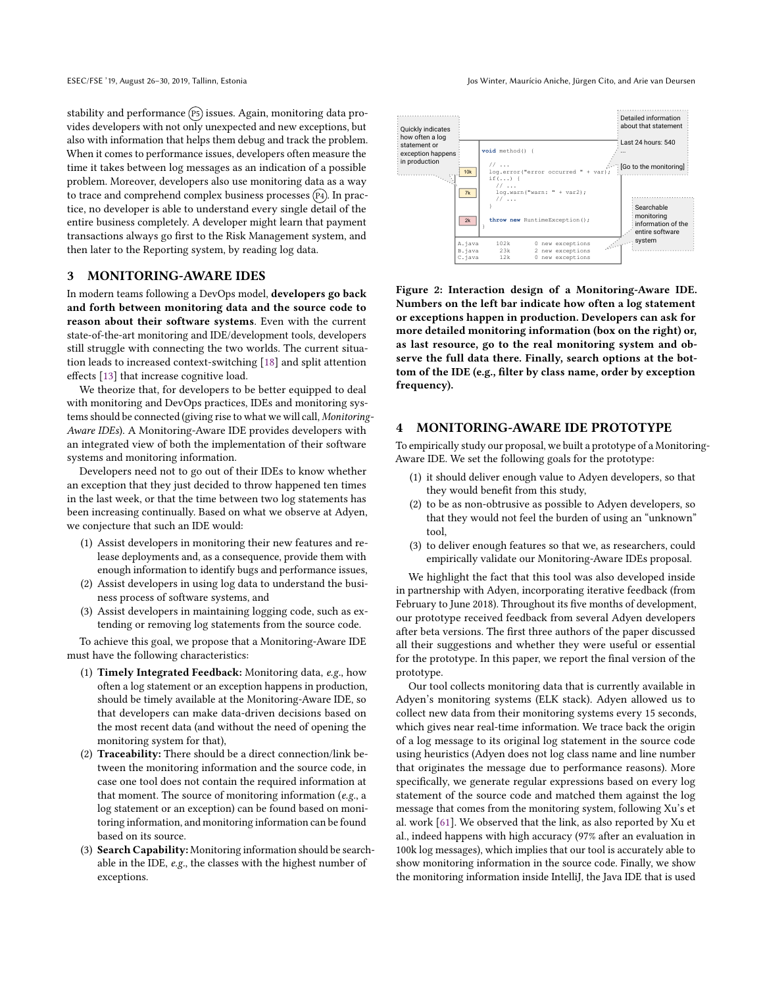stability and performance (P5) issues. Again, monitoring data provides developers with not only unexpected and new exceptions, but also with information that helps them debug and track the problem. When it comes to performance issues, developers often measure the time it takes between log messages as an indication of a possible problem. Moreover, developers also use monitoring data as a way to trace and comprehend complex business processes  $(P_4)$ . In practice, no developer is able to understand every single detail of the entire business completely. A developer might learn that payment transactions always go first to the Risk Management system, and then later to the Reporting system, by reading log data.

### <span id="page-4-0"></span>3 MONITORING-AWARE IDES

In modern teams following a DevOps model, developers go back and forth between monitoring data and the source code to reason about their software systems. Even with the current state-of-the-art monitoring and IDE/development tools, developers still struggle with connecting the two worlds. The current situation leads to increased context-switching [\[18\]](#page-11-14) and split attention efects [\[13\]](#page-11-15) that increase cognitive load.

We theorize that, for developers to be better equipped to deal with monitoring and DevOps practices, IDEs and monitoring systems should be connected (giving rise to what we will call, Monitoring-Aware IDEs). A Monitoring-Aware IDE provides developers with an integrated view of both the implementation of their software systems and monitoring information.

Developers need not to go out of their IDEs to know whether an exception that they just decided to throw happened ten times in the last week, or that the time between two log statements has been increasing continually. Based on what we observe at Adyen, we conjecture that such an IDE would:

- (1) Assist developers in monitoring their new features and release deployments and, as a consequence, provide them with enough information to identify bugs and performance issues,
- (2) Assist developers in using log data to understand the business process of software systems, and
- (3) Assist developers in maintaining logging code, such as extending or removing log statements from the source code.

To achieve this goal, we propose that a Monitoring-Aware IDE must have the following characteristics:

- (1) Timely Integrated Feedback: Monitoring data, e.g., how often a log statement or an exception happens in production, should be timely available at the Monitoring-Aware IDE, so that developers can make data-driven decisions based on the most recent data (and without the need of opening the monitoring system for that),
- (2) Traceability: There should be a direct connection/link between the monitoring information and the source code, in case one tool does not contain the required information at that moment. The source of monitoring information ( $e.g.,$  a log statement or an exception) can be found based on monitoring information, and monitoring information can be found based on its source.
- (3) Search Capability: Monitoring information should be searchable in the IDE, e.g., the classes with the highest number of exceptions.

<span id="page-4-1"></span>

Figure 2: Interaction design of a Monitoring-Aware IDE. Numbers on the left bar indicate how often a log statement or exceptions happen in production. Developers can ask for more detailed monitoring information (box on the right) or, as last resource, go to the real monitoring system and observe the full data there. Finally, search options at the bottom of the IDE (e.g., filter by class name, order by exception frequency).

#### 4 MONITORING-AWARE IDE PROTOTYPE

To empirically study our proposal, we built a prototype of a Monitoring-Aware IDE. We set the following goals for the prototype:

- (1) it should deliver enough value to Adyen developers, so that they would benefit from this study,
- (2) to be as non-obtrusive as possible to Adyen developers, so that they would not feel the burden of using an "unknown" tool,
- (3) to deliver enough features so that we, as researchers, could empirically validate our Monitoring-Aware IDEs proposal.

We highlight the fact that this tool was also developed inside in partnership with Adyen, incorporating iterative feedback (from February to June 2018). Throughout its five months of development, our prototype received feedback from several Adyen developers after beta versions. The first three authors of the paper discussed all their suggestions and whether they were useful or essential for the prototype. In this paper, we report the final version of the prototype.

Our tool collects monitoring data that is currently available in Adyen's monitoring systems (ELK stack). Adyen allowed us to collect new data from their monitoring systems every 15 seconds, which gives near real-time information. We trace back the origin of a log message to its original log statement in the source code using heuristics (Adyen does not log class name and line number that originates the message due to performance reasons). More specifically, we generate regular expressions based on every log statement of the source code and matched them against the log message that comes from the monitoring system, following Xu's et al. work [\[61\]](#page-12-3). We observed that the link, as also reported by Xu et al., indeed happens with high accuracy (97% after an evaluation in 100k log messages), which implies that our tool is accurately able to show monitoring information in the source code. Finally, we show the monitoring information inside IntelliJ, the Java IDE that is used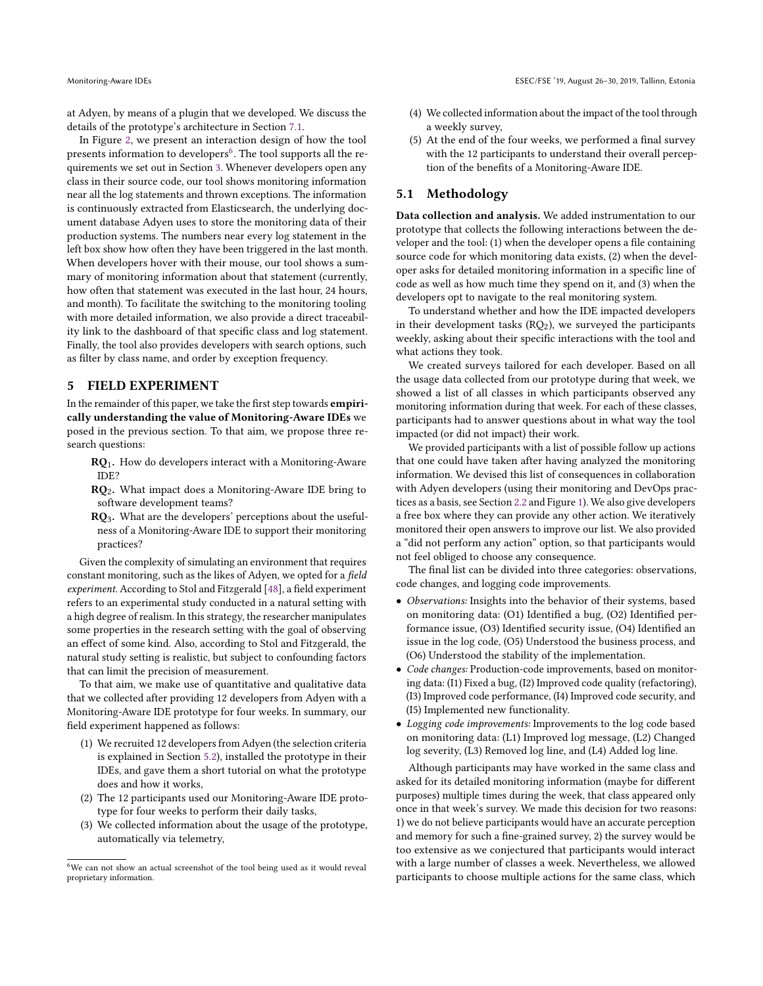at Adyen, by means of a plugin that we developed. We discuss the details of the prototype's architecture in Section [7.1.](#page-9-0)

In Figure [2,](#page-4-1) we present an interaction design of how the tool presents information to developers $^6$  $^6$ . The tool supports all the requirements we set out in Section [3.](#page-4-0) Whenever developers open any class in their source code, our tool shows monitoring information near all the log statements and thrown exceptions. The information is continuously extracted from Elasticsearch, the underlying document database Adyen uses to store the monitoring data of their production systems. The numbers near every log statement in the left box show how often they have been triggered in the last month. When developers hover with their mouse, our tool shows a summary of monitoring information about that statement (currently, how often that statement was executed in the last hour, 24 hours, and month). To facilitate the switching to the monitoring tooling with more detailed information, we also provide a direct traceability link to the dashboard of that specific class and log statement. Finally, the tool also provides developers with search options, such as filter by class name, and order by exception frequency.

### <span id="page-5-0"></span>5 FIELD EXPERIMENT

In the remainder of this paper, we take the first step towards *empiri*cally understanding the value of Monitoring-Aware IDEs we posed in the previous section. To that aim, we propose three research questions:

- RQ1. How do developers interact with a Monitoring-Aware IDE?
- $RQ<sub>2</sub>$ . What impact does a Monitoring-Aware IDE bring to software development teams?
- $RQ_3$ . What are the developers' perceptions about the usefulness of a Monitoring-Aware IDE to support their monitoring practices?

Given the complexity of simulating an environment that requires constant monitoring, such as the likes of Adyen, we opted for a field experiment. According to Stol and Fitzgerald [\[48\]](#page-11-40), a field experiment refers to an experimental study conducted in a natural setting with a high degree of realism. In this strategy, the researcher manipulates some properties in the research setting with the goal of observing an efect of some kind. Also, according to Stol and Fitzgerald, the natural study setting is realistic, but subject to confounding factors that can limit the precision of measurement.

To that aim, we make use of quantitative and qualitative data that we collected after providing 12 developers from Adyen with a Monitoring-Aware IDE prototype for four weeks. In summary, our field experiment happened as follows:

- (1) We recruited 12 developers from Adyen (the selection criteria is explained in Section [5.2\)](#page-6-1), installed the prototype in their IDEs, and gave them a short tutorial on what the prototype does and how it works,
- (2) The 12 participants used our Monitoring-Aware IDE prototype for four weeks to perform their daily tasks,
- (3) We collected information about the usage of the prototype, automatically via telemetry,
- (4) We collected information about the impact of the tool through a weekly survey,
- (5) At the end of the four weeks, we performed a final survey with the 12 participants to understand their overall perception of the benefits of a Monitoring-Aware IDE.

## 5.1 Methodology

Data collection and analysis. We added instrumentation to our prototype that collects the following interactions between the developer and the tool:  $(1)$  when the developer opens a file containing source code for which monitoring data exists, (2) when the developer asks for detailed monitoring information in a specific line of code as well as how much time they spend on it, and (3) when the developers opt to navigate to the real monitoring system.

To understand whether and how the IDE impacted developers in their development tasks  $(RQ_2)$ , we surveyed the participants weekly, asking about their specific interactions with the tool and what actions they took.

We created surveys tailored for each developer. Based on all the usage data collected from our prototype during that week, we showed a list of all classes in which participants observed any monitoring information during that week. For each of these classes, participants had to answer questions about in what way the tool impacted (or did not impact) their work.

We provided participants with a list of possible follow up actions that one could have taken after having analyzed the monitoring information. We devised this list of consequences in collaboration with Adyen developers (using their monitoring and DevOps practices as a basis, see Section [2.2](#page-3-1) and Figure [1\)](#page-3-0). We also give developers a free box where they can provide any other action. We iteratively monitored their open answers to improve our list. We also provided a "did not perform any action" option, so that participants would not feel obliged to choose any consequence.

The final list can be divided into three categories: observations, code changes, and logging code improvements.

- Observations: Insights into the behavior of their systems, based on monitoring data: (O1) Identified a bug, (O2) Identified performance issue, (O3) Identified security issue, (O4) Identified an issue in the log code, (O5) Understood the business process, and (O6) Understood the stability of the implementation.
- Code changes: Production-code improvements, based on monitoring data: (I1) Fixed a bug, (I2) Improved code quality (refactoring), (I3) Improved code performance, (I4) Improved code security, and (I5) Implemented new functionality.
- Logging code improvements: Improvements to the log code based on monitoring data: (L1) Improved log message, (L2) Changed log severity, (L3) Removed log line, and (L4) Added log line.

Although participants may have worked in the same class and asked for its detailed monitoring information (maybe for diferent purposes) multiple times during the week, that class appeared only once in that week's survey. We made this decision for two reasons: 1) we do not believe participants would have an accurate perception and memory for such a fine-grained survey, 2) the survey would be too extensive as we conjectured that participants would interact with a large number of classes a week. Nevertheless, we allowed participants to choose multiple actions for the same class, which

<span id="page-5-1"></span><sup>6</sup>We can not show an actual screenshot of the tool being used as it would reveal proprietary information.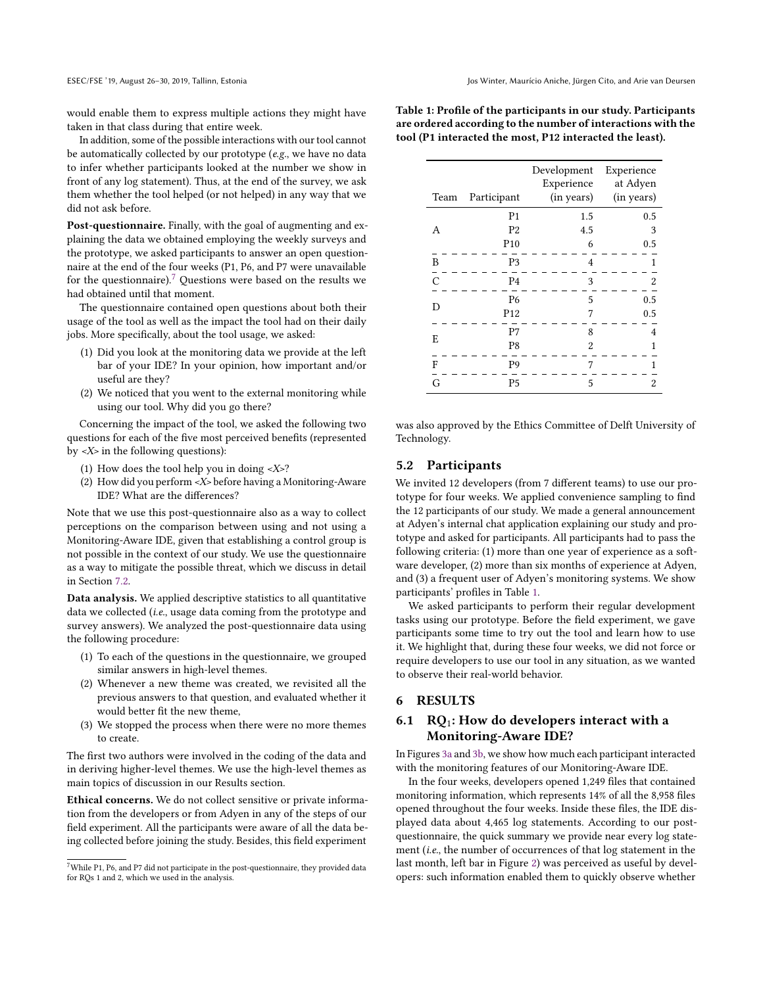would enable them to express multiple actions they might have taken in that class during that entire week.

In addition, some of the possible interactions with our tool cannot be automatically collected by our prototype (e.g., we have no data to infer whether participants looked at the number we show in front of any log statement). Thus, at the end of the survey, we ask them whether the tool helped (or not helped) in any way that we did not ask before.

Post-questionnaire. Finally, with the goal of augmenting and explaining the data we obtained employing the weekly surveys and the prototype, we asked participants to answer an open questionnaire at the end of the four weeks (P1, P6, and P7 were unavailable for the questionnaire).<sup>[7](#page-6-2)</sup> Questions were based on the results we had obtained until that moment.

The questionnaire contained open questions about both their usage of the tool as well as the impact the tool had on their daily jobs. More specifically, about the tool usage, we asked:

- (1) Did you look at the monitoring data we provide at the left bar of your IDE? In your opinion, how important and/or useful are they?
- (2) We noticed that you went to the external monitoring while using our tool. Why did you go there?

Concerning the impact of the tool, we asked the following two questions for each of the five most perceived benefits (represented by <X> in the following questions):

- (1) How does the tool help you in doing <X>?
- (2) How did you perform <X> before having a Monitoring-Aware IDE? What are the diferences?

Note that we use this post-questionnaire also as a way to collect perceptions on the comparison between using and not using a Monitoring-Aware IDE, given that establishing a control group is not possible in the context of our study. We use the questionnaire as a way to mitigate the possible threat, which we discuss in detail in Section [7.2.](#page-10-0)

Data analysis. We applied descriptive statistics to all quantitative data we collected (i.e., usage data coming from the prototype and survey answers). We analyzed the post-questionnaire data using the following procedure:

- (1) To each of the questions in the questionnaire, we grouped similar answers in high-level themes.
- (2) Whenever a new theme was created, we revisited all the previous answers to that question, and evaluated whether it would better fit the new theme,
- (3) We stopped the process when there were no more themes to create.

The first two authors were involved in the coding of the data and in deriving higher-level themes. We use the high-level themes as main topics of discussion in our Results section.

Ethical concerns. We do not collect sensitive or private information from the developers or from Adyen in any of the steps of our field experiment. All the participants were aware of all the data being collected before joining the study. Besides, this field experiment

<span id="page-6-3"></span>Table 1: Profile of the participants in our study. Participants are ordered according to the number of interactions with the tool (P1 interacted the most, P12 interacted the least).

| Team           | Participant     | Development<br>Experience<br>(in years) | Experience<br>at Adyen<br>(in years) |
|----------------|-----------------|-----------------------------------------|--------------------------------------|
|                | P <sub>1</sub>  | 1.5                                     | 0.5                                  |
| A              | P <sub>2</sub>  | 4.5                                     | 3                                    |
|                | P <sub>10</sub> | 6                                       | 0.5                                  |
| B              | P <sub>3</sub>  | 4                                       | 1                                    |
| $\overline{C}$ | P <sub>4</sub>  | 3                                       | $\overline{2}$                       |
| D              | P <sub>6</sub>  | 5                                       | 0.5                                  |
|                | P <sub>12</sub> | 7                                       | 0.5                                  |
| E              | P7              | 8                                       | 4                                    |
|                | P8              | $\overline{2}$                          | 1                                    |
| F              | P <sub>9</sub>  | 7                                       | 1                                    |
| G              | <b>P5</b>       | 5                                       | $\overline{c}$                       |

was also approved by the Ethics Committee of Delft University of Technology.

### <span id="page-6-1"></span>5.2 Participants

We invited 12 developers (from 7 diferent teams) to use our prototype for four weeks. We applied convenience sampling to find the 12 participants of our study. We made a general announcement at Adyen's internal chat application explaining our study and prototype and asked for participants. All participants had to pass the following criteria: (1) more than one year of experience as a software developer, (2) more than six months of experience at Adyen, and (3) a frequent user of Adyen's monitoring systems. We show participants' profiles in Table [1.](#page-6-3)

We asked participants to perform their regular development tasks using our prototype. Before the field experiment, we gave participants some time to try out the tool and learn how to use it. We highlight that, during these four weeks, we did not force or require developers to use our tool in any situation, as we wanted to observe their real-world behavior.

# <span id="page-6-0"></span>6 RESULTS

# 6.1 RQ<sub>1</sub>: How do developers interact with a Monitoring-Aware IDE?

In Figures [3a](#page-7-0) and [3b,](#page-7-0) we show how much each participant interacted with the monitoring features of our Monitoring-Aware IDE.

In the four weeks, developers opened 1,249 files that contained monitoring information, which represents 14% of all the 8,958 files opened throughout the four weeks. Inside these files, the IDE displayed data about 4,465 log statements. According to our postquestionnaire, the quick summary we provide near every log statement (i.e., the number of occurrences of that log statement in the last month, left bar in Figure [2\)](#page-4-1) was perceived as useful by developers: such information enabled them to quickly observe whether

<span id="page-6-2"></span> $7$ While P1, P6, and P7 did not participate in the post-questionnaire, they provided data for RQs 1 and 2, which we used in the analysis.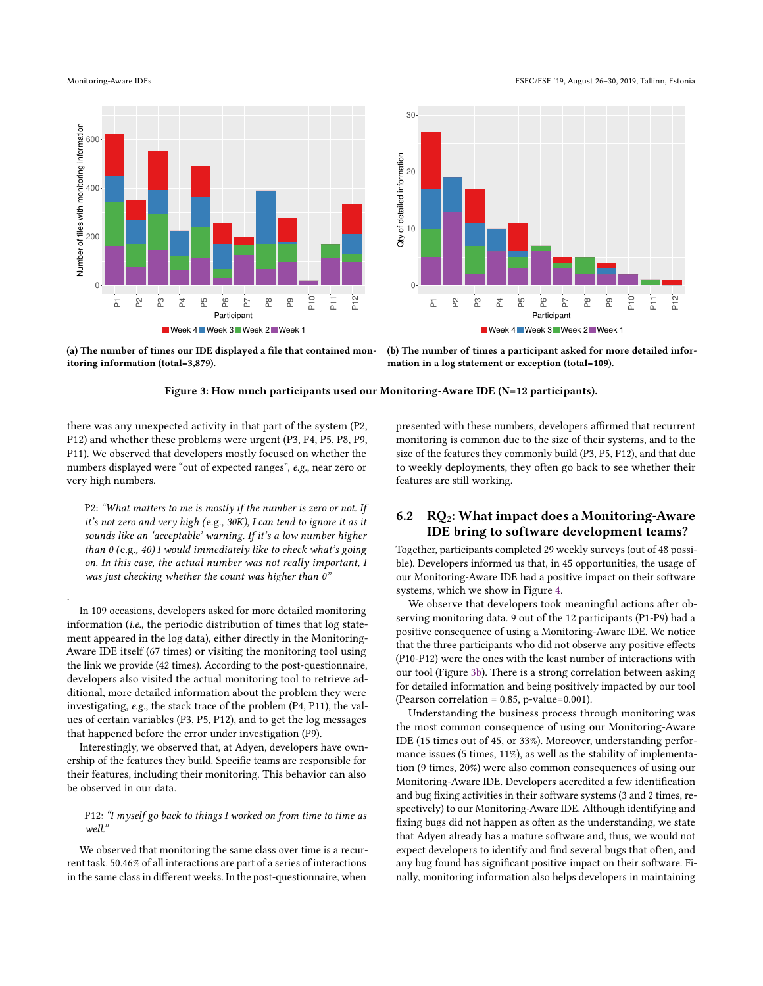.

<span id="page-7-0"></span>



Week 4 Week 3 Week 2 Week 1

(a) The number of times our IDE displayed a file that contained monitoring information (total=3,879).

(b) The number of times a participant asked for more detailed information in a log statement or exception (total=109).

Figure 3: How much participants used our Monitoring-Aware IDE (N=12 participants).

there was any unexpected activity in that part of the system (P2, P12) and whether these problems were urgent (P3, P4, P5, P8, P9, P11). We observed that developers mostly focused on whether the numbers displayed were "out of expected ranges", e.g., near zero or very high numbers.

P2: "What matters to me is mostly if the number is zero or not. If it's not zero and very high (e.g., 30K), I can tend to ignore it as it sounds like an 'acceptable' warning. If it's a low number higher than  $0$  (e.g., 40) I would immediately like to check what's going on. In this case, the actual number was not really important, I was just checking whether the count was higher than 0"

In 109 occasions, developers asked for more detailed monitoring information (i.e., the periodic distribution of times that log statement appeared in the log data), either directly in the Monitoring-Aware IDE itself (67 times) or visiting the monitoring tool using the link we provide (42 times). According to the post-questionnaire, developers also visited the actual monitoring tool to retrieve additional, more detailed information about the problem they were investigating, e.g., the stack trace of the problem (P4, P11), the values of certain variables (P3, P5, P12), and to get the log messages that happened before the error under investigation (P9).

Interestingly, we observed that, at Adyen, developers have ownership of the features they build. Specific teams are responsible for their features, including their monitoring. This behavior can also be observed in our data.

### P12: "I myself go back to things I worked on from time to time as well."

We observed that monitoring the same class over time is a recurrent task. 50.46% of all interactions are part of a series of interactions in the same class in diferent weeks. In the post-questionnaire, when

presented with these numbers, developers affirmed that recurrent monitoring is common due to the size of their systems, and to the size of the features they commonly build (P3, P5, P12), and that due to weekly deployments, they often go back to see whether their features are still working.

## 6.2  $\overline{RQ_2}$ : What impact does a Monitoring-Aware IDE bring to software development teams?

Together, participants completed 29 weekly surveys (out of 48 possible). Developers informed us that, in 45 opportunities, the usage of our Monitoring-Aware IDE had a positive impact on their software systems, which we show in Figure [4.](#page-8-0)

We observe that developers took meaningful actions after observing monitoring data. 9 out of the 12 participants (P1-P9) had a positive consequence of using a Monitoring-Aware IDE. We notice that the three participants who did not observe any positive effects (P10-P12) were the ones with the least number of interactions with our tool (Figure [3b\)](#page-7-0). There is a strong correlation between asking for detailed information and being positively impacted by our tool (Pearson correlation = 0.85, p-value=0.001).

Understanding the business process through monitoring was the most common consequence of using our Monitoring-Aware IDE (15 times out of 45, or 33%). Moreover, understanding performance issues (5 times, 11%), as well as the stability of implementation (9 times, 20%) were also common consequences of using our Monitoring-Aware IDE. Developers accredited a few identification and bug fixing activities in their software systems (3 and 2 times, respectively) to our Monitoring-Aware IDE. Although identifying and fixing bugs did not happen as often as the understanding, we state that Adyen already has a mature software and, thus, we would not expect developers to identify and find several bugs that often, and any bug found has significant positive impact on their software. Finally, monitoring information also helps developers in maintaining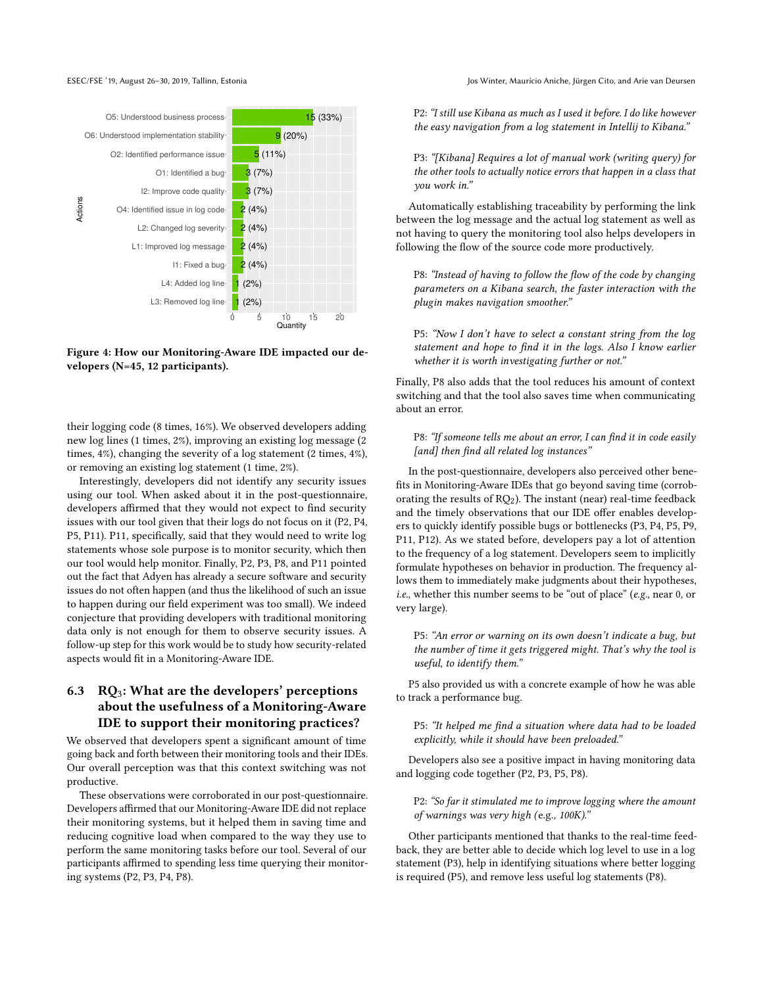<span id="page-8-0"></span>

Figure 4: How our Monitoring-Aware IDE impacted our developers (N=45, 12 participants).

their logging code (8 times, 16%). We observed developers adding new log lines (1 times, 2%), improving an existing log message (2 times, 4%), changing the severity of a log statement (2 times, 4%), or removing an existing log statement (1 time, 2%).

Interestingly, developers did not identify any security issues using our tool. When asked about it in the post-questionnaire, developers affirmed that they would not expect to find security issues with our tool given that their logs do not focus on it (P2, P4, P5, P11). P11, specifically, said that they would need to write log statements whose sole purpose is to monitor security, which then our tool would help monitor. Finally, P2, P3, P8, and P11 pointed out the fact that Adyen has already a secure software and security issues do not often happen (and thus the likelihood of such an issue to happen during our field experiment was too small). We indeed conjecture that providing developers with traditional monitoring data only is not enough for them to observe security issues. A follow-up step for this work would be to study how security-related aspects would fit in a Monitoring-Aware IDE.

# 6.3  $RQ_3$ : What are the developers' perceptions about the usefulness of a Monitoring-Aware IDE to support their monitoring practices?

We observed that developers spent a significant amount of time going back and forth between their monitoring tools and their IDEs. Our overall perception was that this context switching was not productive.

These observations were corroborated in our post-questionnaire. Developers affirmed that our Monitoring-Aware IDE did not replace their monitoring systems, but it helped them in saving time and reducing cognitive load when compared to the way they use to perform the same monitoring tasks before our tool. Several of our participants affirmed to spending less time querying their monitoring systems (P2, P3, P4, P8).

P2: "I still use Kibana as much as I used it before. I do like however the easy navigation from a log statement in Intellij to Kibana."

P3: "[Kibana] Requires a lot of manual work (writing query) for the other tools to actually notice errors that happen in a class that you work in."

Automatically establishing traceability by performing the link between the log message and the actual log statement as well as not having to query the monitoring tool also helps developers in following the flow of the source code more productively.

P8: "Instead of having to follow the flow of the code by changing parameters on a Kibana search, the faster interaction with the plugin makes navigation smoother."

P5: "Now I don't have to select a constant string from the log statement and hope to find it in the logs. Also I know earlier whether it is worth investigating further or not."

Finally, P8 also adds that the tool reduces his amount of context switching and that the tool also saves time when communicating about an error.

P8: "If someone tells me about an error, I can find it in code easily [and] then find all related log instances"

In the post-questionnaire, developers also perceived other benefits in Monitoring-Aware IDEs that go beyond saving time (corroborating the results of  $RQ_2$ ). The instant (near) real-time feedback and the timely observations that our IDE offer enables developers to quickly identify possible bugs or bottlenecks (P3, P4, P5, P9, P11, P12). As we stated before, developers pay a lot of attention to the frequency of a log statement. Developers seem to implicitly formulate hypotheses on behavior in production. The frequency allows them to immediately make judgments about their hypotheses, *i.e.*, whether this number seems to be "out of place" (*e.g.*, near  $0$ , or very large).

P5: "An error or warning on its own doesn't indicate a bug, but the number of time it gets triggered might. That's why the tool is useful, to identify them."

P5 also provided us with a concrete example of how he was able to track a performance bug.

P5: "It helped me find a situation where data had to be loaded explicitly, while it should have been preloaded."

Developers also see a positive impact in having monitoring data and logging code together (P2, P3, P5, P8).

P2: "So far it stimulated me to improve logging where the amount of warnings was very high (e.g., 100K)."

Other participants mentioned that thanks to the real-time feedback, they are better able to decide which log level to use in a log statement (P3), help in identifying situations where better logging is required (P5), and remove less useful log statements (P8).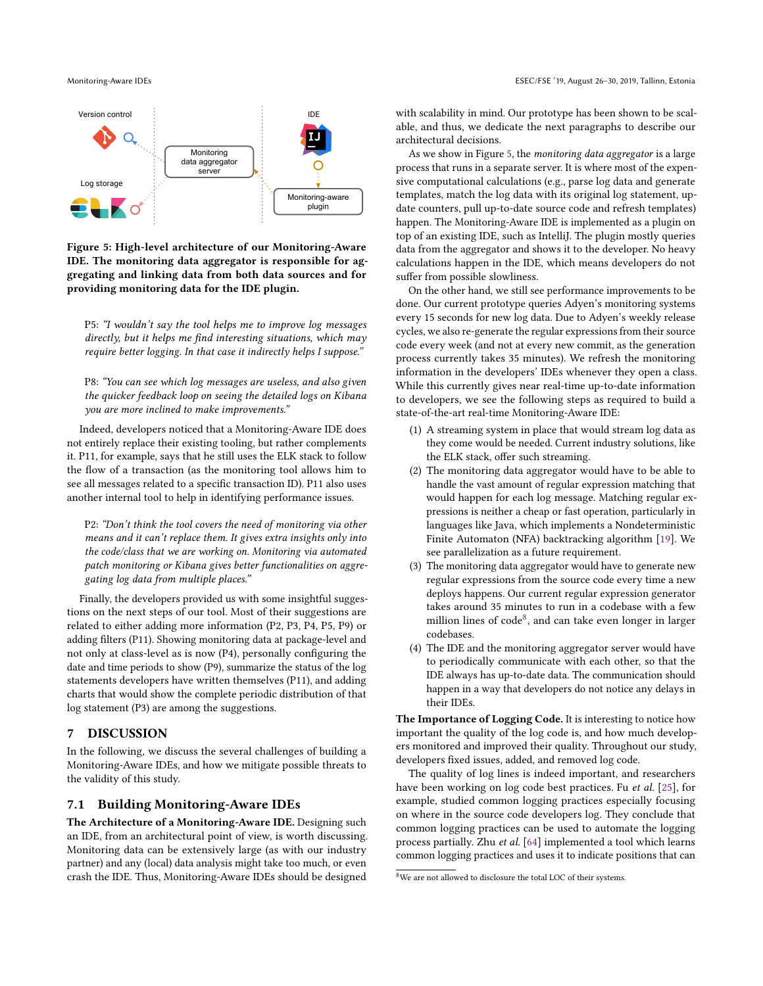<span id="page-9-1"></span>

Figure 5: High-level architecture of our Monitoring-Aware IDE. The monitoring data aggregator is responsible for aggregating and linking data from both data sources and for providing monitoring data for the IDE plugin.

P5: "I wouldn't say the tool helps me to improve log messages directly, but it helps me find interesting situations, which may require better logging. In that case it indirectly helps I suppose."

P8: "You can see which log messages are useless, and also given the quicker feedback loop on seeing the detailed logs on Kibana you are more inclined to make improvements."

Indeed, developers noticed that a Monitoring-Aware IDE does not entirely replace their existing tooling, but rather complements it. P11, for example, says that he still uses the ELK stack to follow the flow of a transaction (as the monitoring tool allows him to see all messages related to a specific transaction ID). P11 also uses another internal tool to help in identifying performance issues.

P2: "Don't think the tool covers the need of monitoring via other means and it can't replace them. It gives extra insights only into the code/class that we are working on. Monitoring via automated patch monitoring or Kibana gives better functionalities on aggregating log data from multiple places."

Finally, the developers provided us with some insightful suggestions on the next steps of our tool. Most of their suggestions are related to either adding more information (P2, P3, P4, P5, P9) or adding filters (P11). Showing monitoring data at package-level and not only at class-level as is now  $(P4)$ , personally configuring the date and time periods to show (P9), summarize the status of the log statements developers have written themselves (P11), and adding charts that would show the complete periodic distribution of that log statement (P3) are among the suggestions.

# 7 DISCUSSION

In the following, we discuss the several challenges of building a Monitoring-Aware IDEs, and how we mitigate possible threats to the validity of this study.

# <span id="page-9-0"></span>7.1 Building Monitoring-Aware IDEs

The Architecture of a Monitoring-Aware IDE. Designing such an IDE, from an architectural point of view, is worth discussing. Monitoring data can be extensively large (as with our industry partner) and any (local) data analysis might take too much, or even crash the IDE. Thus, Monitoring-Aware IDEs should be designed

with scalability in mind. Our prototype has been shown to be scalable, and thus, we dedicate the next paragraphs to describe our architectural decisions.

As we show in Figure [5,](#page-9-1) the monitoring data aggregator is a large process that runs in a separate server. It is where most of the expensive computational calculations (e.g., parse log data and generate templates, match the log data with its original log statement, update counters, pull up-to-date source code and refresh templates) happen. The Monitoring-Aware IDE is implemented as a plugin on top of an existing IDE, such as IntelliJ. The plugin mostly queries data from the aggregator and shows it to the developer. No heavy calculations happen in the IDE, which means developers do not sufer from possible slowliness.

On the other hand, we still see performance improvements to be done. Our current prototype queries Adyen's monitoring systems every 15 seconds for new log data. Due to Adyen's weekly release cycles, we also re-generate the regular expressions from their source code every week (and not at every new commit, as the generation process currently takes 35 minutes). We refresh the monitoring information in the developers' IDEs whenever they open a class. While this currently gives near real-time up-to-date information to developers, we see the following steps as required to build a state-of-the-art real-time Monitoring-Aware IDE:

- (1) A streaming system in place that would stream log data as they come would be needed. Current industry solutions, like the ELK stack, offer such streaming.
- (2) The monitoring data aggregator would have to be able to handle the vast amount of regular expression matching that would happen for each log message. Matching regular expressions is neither a cheap or fast operation, particularly in languages like Java, which implements a Nondeterministic Finite Automaton (NFA) backtracking algorithm [\[19\]](#page-11-41). We see parallelization as a future requirement.
- (3) The monitoring data aggregator would have to generate new regular expressions from the source code every time a new deploys happens. Our current regular expression generator takes around 35 minutes to run in a codebase with a few million lines of  $code^8$  $code^8$ , and can take even longer in larger codebases.
- (4) The IDE and the monitoring aggregator server would have to periodically communicate with each other, so that the IDE always has up-to-date data. The communication should happen in a way that developers do not notice any delays in their IDEs.

The Importance of Logging Code. It is interesting to notice how important the quality of the log code is, and how much developers monitored and improved their quality. Throughout our study, developers fixed issues, added, and removed log code.

The quality of log lines is indeed important, and researchers have been working on log code best practices. Fu et al. [\[25\]](#page-11-42), for example, studied common logging practices especially focusing on where in the source code developers log. They conclude that common logging practices can be used to automate the logging process partially. Zhu et al. [\[64\]](#page-12-9) implemented a tool which learns common logging practices and uses it to indicate positions that can

<span id="page-9-2"></span><sup>8</sup>We are not allowed to disclosure the total LOC of their systems.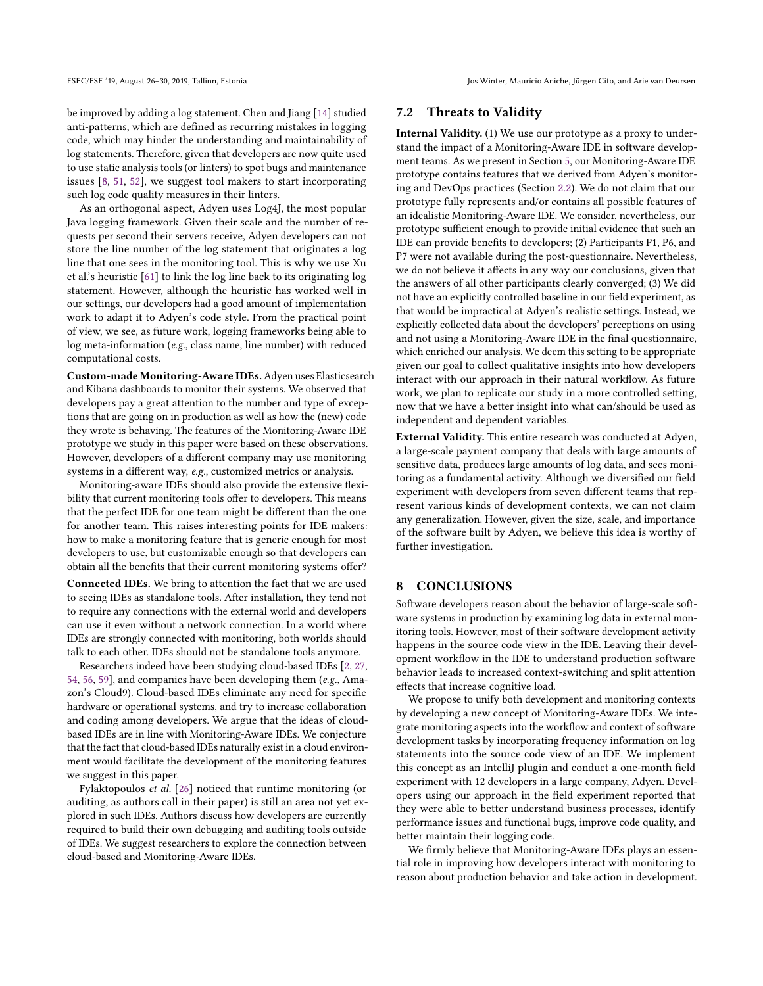be improved by adding a log statement. Chen and Jiang [\[14\]](#page-11-43) studied anti-patterns, which are defined as recurring mistakes in logging code, which may hinder the understanding and maintainability of log statements. Therefore, given that developers are now quite used to use static analysis tools (or linters) to spot bugs and maintenance issues [\[8,](#page-11-44) [51,](#page-12-13) [52\]](#page-12-14), we suggest tool makers to start incorporating such log code quality measures in their linters.

As an orthogonal aspect, Adyen uses Log4J, the most popular Java logging framework. Given their scale and the number of requests per second their servers receive, Adyen developers can not store the line number of the log statement that originates a log line that one sees in the monitoring tool. This is why we use Xu et al.'s heuristic [\[61\]](#page-12-3) to link the log line back to its originating log statement. However, although the heuristic has worked well in our settings, our developers had a good amount of implementation work to adapt it to Adyen's code style. From the practical point of view, we see, as future work, logging frameworks being able to log meta-information (e.g., class name, line number) with reduced computational costs.

Custom-made Monitoring-Aware IDEs.Adyen uses Elasticsearch and Kibana dashboards to monitor their systems. We observed that developers pay a great attention to the number and type of exceptions that are going on in production as well as how the (new) code they wrote is behaving. The features of the Monitoring-Aware IDE prototype we study in this paper were based on these observations. However, developers of a diferent company may use monitoring systems in a diferent way, e.g., customized metrics or analysis.

Monitoring-aware IDEs should also provide the extensive lexibility that current monitoring tools offer to developers. This means that the perfect IDE for one team might be diferent than the one for another team. This raises interesting points for IDE makers: how to make a monitoring feature that is generic enough for most developers to use, but customizable enough so that developers can obtain all the benefits that their current monitoring systems offer?

Connected IDEs. We bring to attention the fact that we are used to seeing IDEs as standalone tools. After installation, they tend not to require any connections with the external world and developers can use it even without a network connection. In a world where IDEs are strongly connected with monitoring, both worlds should talk to each other. IDEs should not be standalone tools anymore.

Researchers indeed have been studying cloud-based IDEs [\[2,](#page-11-45) [27,](#page-11-46) [54,](#page-12-15) [56,](#page-12-16) [59\]](#page-12-17), and companies have been developing them (e.g., Amazon's Cloud9). Cloud-based IDEs eliminate any need for specific hardware or operational systems, and try to increase collaboration and coding among developers. We argue that the ideas of cloudbased IDEs are in line with Monitoring-Aware IDEs. We conjecture that the fact that cloud-based IDEs naturally exist in a cloud environment would facilitate the development of the monitoring features we suggest in this paper.

Fylaktopoulos et al. [\[26\]](#page-11-47) noticed that runtime monitoring (or auditing, as authors call in their paper) is still an area not yet explored in such IDEs. Authors discuss how developers are currently required to build their own debugging and auditing tools outside of IDEs. We suggest researchers to explore the connection between cloud-based and Monitoring-Aware IDEs.

### <span id="page-10-0"></span>7.2 Threats to Validity

Internal Validity. (1) We use our prototype as a proxy to understand the impact of a Monitoring-Aware IDE in software development teams. As we present in Section [5,](#page-5-0) our Monitoring-Aware IDE prototype contains features that we derived from Adyen's monitoring and DevOps practices (Section [2.2\)](#page-3-1). We do not claim that our prototype fully represents and/or contains all possible features of an idealistic Monitoring-Aware IDE. We consider, nevertheless, our prototype sufficient enough to provide initial evidence that such an IDE can provide benefits to developers; (2) Participants P1, P6, and P7 were not available during the post-questionnaire. Nevertheless, we do not believe it afects in any way our conclusions, given that the answers of all other participants clearly converged; (3) We did not have an explicitly controlled baseline in our field experiment, as that would be impractical at Adyen's realistic settings. Instead, we explicitly collected data about the developers' perceptions on using and not using a Monitoring-Aware IDE in the final questionnaire, which enriched our analysis. We deem this setting to be appropriate given our goal to collect qualitative insights into how developers interact with our approach in their natural workflow. As future work, we plan to replicate our study in a more controlled setting, now that we have a better insight into what can/should be used as independent and dependent variables.

External Validity. This entire research was conducted at Adyen, a large-scale payment company that deals with large amounts of sensitive data, produces large amounts of log data, and sees monitoring as a fundamental activity. Although we diversified our field experiment with developers from seven diferent teams that represent various kinds of development contexts, we can not claim any generalization. However, given the size, scale, and importance of the software built by Adyen, we believe this idea is worthy of further investigation.

### 8 CONCLUSIONS

Software developers reason about the behavior of large-scale software systems in production by examining log data in external monitoring tools. However, most of their software development activity happens in the source code view in the IDE. Leaving their development worklow in the IDE to understand production software behavior leads to increased context-switching and split attention efects that increase cognitive load.

We propose to unify both development and monitoring contexts by developing a new concept of Monitoring-Aware IDEs. We integrate monitoring aspects into the worklow and context of software development tasks by incorporating frequency information on log statements into the source code view of an IDE. We implement this concept as an IntelliJ plugin and conduct a one-month field experiment with 12 developers in a large company, Adyen. Developers using our approach in the field experiment reported that they were able to better understand business processes, identify performance issues and functional bugs, improve code quality, and better maintain their logging code.

We firmly believe that Monitoring-Aware IDEs plays an essential role in improving how developers interact with monitoring to reason about production behavior and take action in development.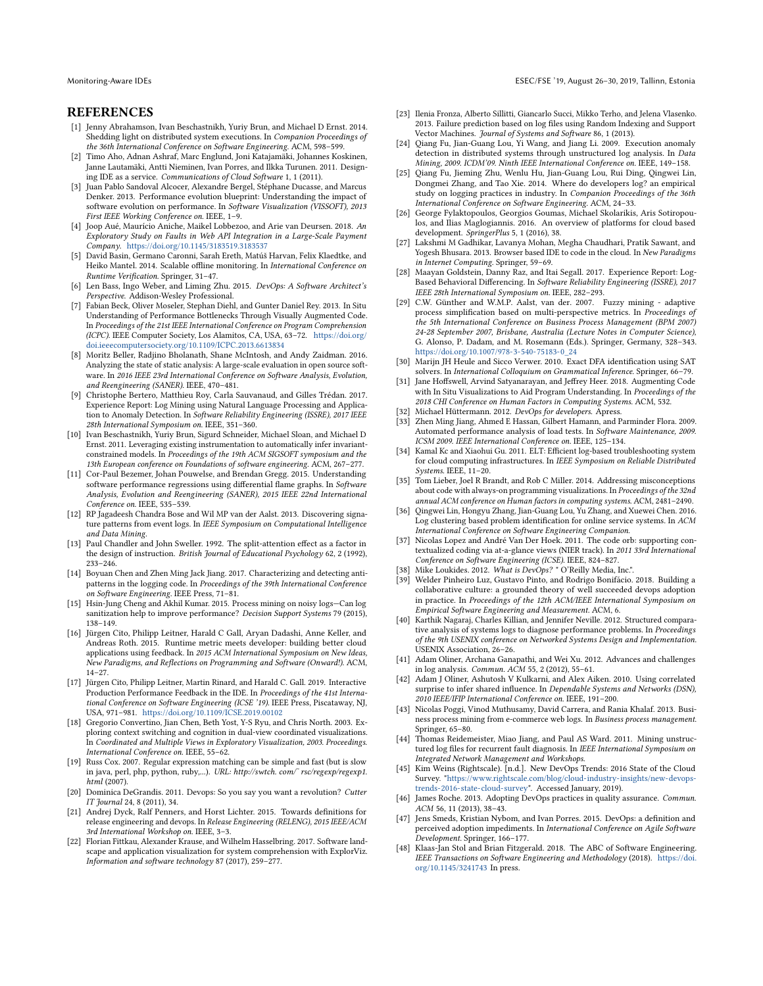### REFERENCES

- <span id="page-11-32"></span>[1] Jenny Abrahamson, Ivan Beschastnikh, Yuriy Brun, and Michael D Ernst. 2014. Shedding light on distributed system executions. In Companion Proceedings of the 36th International Conference on Software Engineering. ACM, 598-599.
- <span id="page-11-45"></span>[2] Timo Aho, Adnan Ashraf, Marc Englund, Joni Katajamäki, Johannes Koskinen, Janne Lautamäki, Antti Nieminen, Ivan Porres, and Ilkka Turunen. 2011. Designing IDE as a service. Communications of Cloud Software 1, 1 (2011).
- <span id="page-11-30"></span>[3] Juan Pablo Sandoval Alcocer, Alexandre Bergel, Stéphane Ducasse, and Marcus Denker. 2013. Performance evolution blueprint: Understanding the impact of software evolution on performance. In Software Visualization (VISSOFT), 2013 First IEEE Working Conference on. IEEE, 1-9.
- <span id="page-11-9"></span>[4] Joop Aué, Maurício Aniche, Maikel Lobbezoo, and Arie van Deursen. 2018. An Exploratory Study on Faults in Web API Integration in a Large-Scale Payment Company. <https://doi.org/10.1145/3183519.3183537>
- <span id="page-11-8"></span>[5] David Basin, Germano Caronni, Sarah Ereth, Matúš Harvan, Felix Klaedtke, and Heiko Mantel. 2014. Scalable offline monitoring. In International Conference on Runtime Verification. Springer, 31-47.
- <span id="page-11-11"></span>[6] Len Bass, Ingo Weber, and Liming Zhu. 2015. DevOps: A Software Architect's Perspective. Addison-Wesley Professional.
- <span id="page-11-36"></span>[7] Fabian Beck, Oliver Moseler, Stephan Diehl, and Gunter Daniel Rey. 2013. In Situ Understanding of Performance Bottlenecks Through Visually Augmented Code. In Proceedings of the 21st IEEE International Conference on Program Comprehension (ICPC). IEEE Computer Society, Los Alamitos, CA, USA, 63-72. [https://doi.org/](https://doi.org/doi.ieeecomputersociety.org/10.1109/ICPC.2013.6613834) [doi.ieeecomputersociety.org/10.1109/ICPC.2013.6613834](https://doi.org/doi.ieeecomputersociety.org/10.1109/ICPC.2013.6613834)
- <span id="page-11-44"></span>[8] Moritz Beller, Radjino Bholanath, Shane McIntosh, and Andy Zaidman. 2016. Analyzing the state of static analysis: A large-scale evaluation in open source software. In 2016 IEEE 23rd International Conference on Software Analysis, Evolution, and Reengineering (SANER). IEEE, 470-481.
- <span id="page-11-2"></span>[9] Christophe Bertero, Matthieu Roy, Carla Sauvanaud, and Gilles Trédan. 2017. Experience Report: Log Mining using Natural Language Processing and Application to Anomaly Detection. In Software Reliability Engineering (ISSRE), 2017 IEEE 28th International Symposium on. IEEE, 351-360.
- <span id="page-11-5"></span>[10] Ivan Beschastnikh, Yuriy Brun, Sigurd Schneider, Michael Sloan, and Michael D Ernst. 2011. Leveraging existing instrumentation to automatically infer invariantconstrained models. In Proceedings of the 19th ACM SIGSOFT symposium and the<br>13th European conference on Foundations of software engineering. ACM, 267–277.
- <span id="page-11-31"></span>[11] Cor-Paul Bezemer, Johan Pouwelse, and Brendan Gregg. 2015. Understanding software performance regressions using diferential lame graphs. In Software Analysis, Evolution and Reengineering (SANER), 2015 IEEE 22nd International Conference on JEEE, 535-539.
- <span id="page-11-26"></span>[12] RP Jagadeesh Chandra Bose and Wil MP van der Aalst. 2013. Discovering signature patterns from event logs. In IEEE Symposium on Computational Intelligence and Data Mining.
- <span id="page-11-15"></span>[13] Paul Chandler and John Sweller. 1992. The split-attention effect as a factor in the design of instruction. British Journal of Educational Psychology 62, 2 (1992),  $233 - 246.$
- <span id="page-11-43"></span>[14] Boyuan Chen and Zhen Ming Jack Jiang. 2017. Characterizing and detecting antipatterns in the logging code. In Proceedings of the 39th International Conference on Software Engineering. IEEE Press, 71-81.
- <span id="page-11-0"></span>[15] Hsin-Jung Cheng and Akhil Kumar. 2015. Process mining on noisy logs—Can log sanitization help to improve performance? Decision Support Systems 79 (2015),  $138 - 149$
- <span id="page-11-22"></span>[16] Jürgen Cito, Philipp Leitner, Harald C Gall, Aryan Dadashi, Anne Keller, and Andreas Roth. 2015. Runtime metric meets developer: building better cloud applications using feedback. In 2015 ACM International Symposium on New Ideas, New Paradigms, and Relections on Programming and Software (Onward!). ACM,  $14 - 27.$
- <span id="page-11-37"></span>[17] Jürgen Cito, Philipp Leitner, Martin Rinard, and Harald C. Gall. 2019. Interactive Production Performance Feedback in the IDE. In Proceedings of the 41st International Conference on Software Engineering (ICSE '19). IEEE Press, Piscataway, NJ, USA, 971-981. <https://doi.org/10.1109/ICSE.2019.00102>
- <span id="page-11-14"></span>[18] Gregorio Convertino, Jian Chen, Beth Yost, Y-S Ryu, and Chris North. 2003. Exploring context switching and cognition in dual-view coordinated visualizations. In Coordinated and Multiple Views in Exploratory Visualization, 2003. Proceedings. International Conference on. IEEE, 55-62.
- <span id="page-11-41"></span>[19] Russ Cox. 2007. Regular expression matching can be simple and fast (but is slow in java, perl, php, python, ruby,...). URL: http://swtch. com/˜ rsc/regexp/regexp1. html (2007).
- <span id="page-11-17"></span>[20] Dominica DeGrandis. 2011. Devops: So you say you want a revolution? Cutter IT Journal 24, 8 (2011), 34.
- <span id="page-11-12"></span>[21] Andrej Dyck, Ralf Penners, and Horst Lichter. 2015. Towards definitions for release engineering and devops. In Release Engineering (RELENG), 2015 IEEE/ACM 3rd International Workshop on. IEEE, 3-3.
- <span id="page-11-34"></span>[22] Florian Fittkau, Alexander Krause, and Wilhelm Hasselbring. 2017. Software landscape and application visualization for system comprehension with ExplorViz. Information and software technology 87 (2017), 259-277.
- <span id="page-11-24"></span>[23] Ilenia Fronza, Alberto Sillitti, Giancarlo Succi, Mikko Terho, and Jelena Vlasenko. 2013. Failure prediction based on log files using Random Indexing and Support Vector Machines. Journal of Systems and Software 86, 1 (2013).
- <span id="page-11-3"></span>[24] Qiang Fu, Jian-Guang Lou, Yi Wang, and Jiang Li. 2009. Execution anomaly detection in distributed systems through unstructured log analysis. In Data Mining, 2009. ICDM'09. Ninth IEEE International Conference on. IEEE, 149-158.
- <span id="page-11-42"></span>[25] Qiang Fu, Jieming Zhu, Wenlu Hu, Jian-Guang Lou, Rui Ding, Qingwei Lin, Dongmei Zhang, and Tao Xie. 2014. Where do developers log? an empirical study on logging practices in industry. In Companion Proceedings of the 36th International Conference on Software Engineering. ACM, 24-33.
- <span id="page-11-47"></span>[26] George Fylaktopoulos, Georgios Goumas, Michael Skolarikis, Aris Sotiropoulos, and Ilias Maglogiannis. 2016. An overview of platforms for cloud based development. SpringerPlus 5, 1 (2016), 38.
- <span id="page-11-46"></span>[27] Lakshmi M Gadhikar, Lavanya Mohan, Megha Chaudhari, Pratik Sawant, and Yogesh Bhusara. 2013. Browser based IDE to code in the cloud. In New Paradigms in Internet Computing. Springer, 59-69.
- <span id="page-11-4"></span>[28] Maayan Goldstein, Danny Raz, and Itai Segall. 2017. Experience Report: Log-Based Behavioral Diferencing. In Software Reliability Engineering (ISSRE), 2017 IEEE 28th International Symposium on. IEEE, 282-293.
- <span id="page-11-1"></span>[29] C.W. Günther and W.M.P. Aalst, van der. 2007. Fuzzy mining - adaptive process simpliication based on multi-perspective metrics. In Proceedings of the 5th International Conference on Business Process Management (BPM 2007) 24-28 September 2007, Brisbane, Australia (Lecture Notes in Computer Science), G. Alonso, P. Dadam, and M. Rosemann (Eds.). Springer, Germany, 328-343. [https://doi.org/10.1007/978-3-540-75183-0\\_24](https://doi.org/10.1007/978-3-540-75183-0_24)
- <span id="page-11-28"></span>[30] Marijn JH Heule and Sicco Verwer. 2010. Exact DFA identification using SAT solvers. In International Colloquium on Grammatical Inference. Springer, 66-79.
- <span id="page-11-38"></span>[31] Jane Hofswell, Arvind Satyanarayan, and Jefrey Heer. 2018. Augmenting Code with In Situ Visualizations to Aid Program Understanding. In Proceedings of the 2018 CHI Conference on Human Factors in Computing Systems. ACM, 532.
- <span id="page-11-16"></span>[32] Michael Hüttermann. 2012. DevOps for developers. Apress.
- <span id="page-11-6"></span>[33] Zhen Ming Jiang, Ahmed E Hassan, Gilbert Hamann, and Parminder Flora. 2009. Automated performance analysis of load tests. In Software Maintenance, 2009. ICSM 2009. IEEE International Conference on. IEEE, 125-134.
- <span id="page-11-27"></span>[34] Kamal Kc and Xiaohui Gu. 2011. ELT: Efficient log-based troubleshooting system for cloud computing infrastructures. In IEEE Symposium on Reliable Distributed Systems. IEEE,  $11-20$ .
- <span id="page-11-35"></span>[35] Tom Lieber, Joel R Brandt, and Rob C Miller. 2014. Addressing misconceptions about code with always-on programming visualizations. In Proceedings of the 32nd annual ACM conference on Human factors in computing systems. ACM, 2481-2490.
- <span id="page-11-25"></span>[36] Qingwei Lin, Hongyu Zhang, Jian-Guang Lou, Yu Zhang, and Xuewei Chen. 2016.  $\rm Log$  clustering based problem identification for online service systems. In  $ACM$ International Conference on Software Engineering Companion.
- <span id="page-11-39"></span>[37] Nicolas Lopez and André Van Der Hoek. 2011. The code orb: supporting contextualized coding via at-a-glance views (NIER track). In 2011 33rd International Conference on Software Engineering (ICSE). IEEE, 824-827.
- <span id="page-11-18"></span>[38] Mike Loukides. 2012. What is DevOps? " O'Reilly Media, Inc.".<br>[39] Welder Pinheiro Luz. Gustavo Pinto. and Rodrigo Bonifácio
- <span id="page-11-21"></span>Welder Pinheiro Luz, Gustavo Pinto, and Rodrigo Bonifácio. 2018. Building a collaborative culture: a grounded theory of well succeeded devops adoption in practice. In Proceedings of the 12th ACM/IEEE International Symposium on Empirical Software Engineering and Measurement. ACM, 6.
- <span id="page-11-7"></span>[40] Karthik Nagaraj, Charles Killian, and Jennifer Neville. 2012. Structured comparative analysis of systems logs to diagnose performance problems. In Proceedings of the 9th USENIX conference on Networked Systems Design and Implementation. USENIX Association, 26-26.
- <span id="page-11-29"></span>[41] Adam Oliner, Archana Ganapathi, and Wei Xu. 2012. Advances and challenges in log analysis. Commun.  $ACM$  55, 2 (2012), 55-61.
- <span id="page-11-33"></span>[42] Adam J Oliner, Ashutosh V Kulkarni, and Alex Aiken. 2010. Using correlated surprise to infer shared influence. In Dependable Systems and Networks (DSN), 2010 IEEE/IFIP International Conference on. IEEE, 191-200.
- <span id="page-11-10"></span>[43] Nicolas Poggi, Vinod Muthusamy, David Carrera, and Rania Khalaf. 2013. Business process mining from e-commerce web logs. In Business process management. Springer, 65-80.
- <span id="page-11-23"></span>[44] Thomas Reidemeister, Miao Jiang, and Paul AS Ward. 2011. Mining unstructured log files for recurrent fault diagnosis. In IEEE International Symposium on Integrated Network Management and Workshops.
- <span id="page-11-19"></span>[45] Kim Weins (Rightscale). [n.d.]. New DevOps Trends: 2016 State of the Cloud Survey. ["https://www.rightscale.com/blog/cloud-industry-insights/new-devops](https://www.rightscale.com/blog/cloud-industry-insights/new-devops-trends-2016-state-cloud-survey)[trends-2016-state-cloud-survey"](https://www.rightscale.com/blog/cloud-industry-insights/new-devops-trends-2016-state-cloud-survey). Accessed January, 2019).
- <span id="page-11-13"></span>[46] James Roche. 2013. Adopting DevOps practices in quality assurance. Commun.  $ACM$  56, 11 (2013), 38-43.
- <span id="page-11-20"></span>[47] Jens Smeds, Kristian Nybom, and Ivan Porres. 2015. DevOps: a definition and perceived adoption impediments. In International Conference on Agile Software Development. Springer, 166-177.
- <span id="page-11-40"></span>[48] Klaas-Jan Stol and Brian Fitzgerald. 2018. The ABC of Software Engineering. IEEE Transactions on Software Engineering and Methodology (2018). [https://doi.](https://doi.org/10.1145/3241743) [org/10.1145/3241743](https://doi.org/10.1145/3241743) In press.